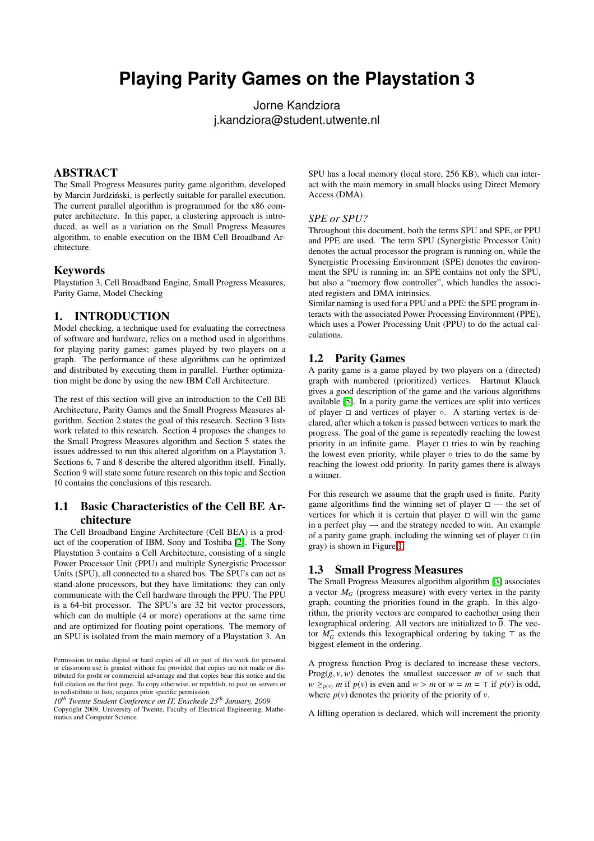# **Playing Parity Games on the Playstation 3**

Jorne Kandziora j.kandziora@student.utwente.nl

# ABSTRACT

The Small Progress Measures parity game algorithm, developed by Marcin Jurdziński, is perfectly suitable for parallel execution. The current parallel algorithm is programmed for the x86 computer architecture. In this paper, a clustering approach is introduced, as well as a variation on the Small Progress Measures algorithm, to enable execution on the IBM Cell Broadband Architecture.

#### Keywords

Playstation 3, Cell Broadband Engine, Small Progress Measures, Parity Game, Model Checking

### 1. INTRODUCTION

Model checking, a technique used for evaluating the correctness of software and hardware, relies on a method used in algorithms for playing parity games; games played by two players on a graph. The performance of these algorithms can be optimized and distributed by executing them in parallel. Further optimization might be done by using the new IBM Cell Architecture.

The rest of this section will give an introduction to the Cell BE Architecture, Parity Games and the Small Progress Measures algorithm. Section 2 states the goal of this research. Section 3 lists work related to this research. Section 4 proposes the changes to the Small Progress Measures algorithm and Section 5 states the issues addressed to run this altered algorithm on a Playstation 3. Sections 6, 7 and 8 describe the altered algorithm itself. Finally, Section 9 will state some future research on this topic and Section 10 contains the conclusions of this research.

# 1.1 Basic Characteristics of the Cell BE Architecture

The Cell Broadband Engine Architecture (Cell BEA) is a product of the cooperation of IBM, Sony and Toshiba [\[2\]](#page-5-0). The Sony Playstation 3 contains a Cell Architecture, consisting of a single Power Processor Unit (PPU) and multiple Synergistic Processor Units (SPU), all connected to a shared bus. The SPU's can act as stand-alone processors, but they have limitations: they can only communicate with the Cell hardware through the PPU. The PPU is a 64-bit processor. The SPU's are 32 bit vector processors, which can do multiple (4 or more) operations at the same time and are optimized for floating point operations. The memory of an SPU is isolated from the main memory of a Playstation 3. An SPU has a local memory (local store, 256 KB), which can interact with the main memory in small blocks using Direct Memory Access (DMA).

#### *SPE or SPU?*

Throughout this document, both the terms SPU and SPE, or PPU and PPE are used. The term SPU (Synergistic Processor Unit) denotes the actual processor the program is running on, while the Synergistic Processing Environment (SPE) denotes the environment the SPU is running in: an SPE contains not only the SPU, but also a "memory flow controller", which handles the associated registers and DMA intrinsics.

Similar naming is used for a PPU and a PPE: the SPE program interacts with the associated Power Processing Environment (PPE), which uses a Power Processing Unit (PPU) to do the actual calculations.

#### 1.2 Parity Games

A parity game is a game played by two players on a (directed) graph with numbered (prioritized) vertices. Hartmut Klauck gives a good description of the game and the various algorithms available [\[5\]](#page-5-1). In a parity game the vertices are split into vertices of player  $\Box$  and vertices of player  $\circ$ . A starting vertex is declared, after which a token is passed between vertices to mark the progress. The goal of the game is repeatedly reaching the lowest priority in an infinite game. Player  $\Box$  tries to win by reaching the lowest even priority, while player  $\circ$  tries to do the same by reaching the lowest odd priority. In parity games there is always a winner.

For this research we assume that the graph used is finite. Parity game algorithms find the winning set of player  $\Box$  — the set of vertices for which it is certain that player  $\Box$  will win the game in a perfect play — and the strategy needed to win. An example of a parity game graph, including the winning set of player  $\Box$  (in gray) is shown in Figure [1.](#page-1-0)

### <span id="page-0-0"></span>1.3 Small Progress Measures

The Small Progress Measures algorithm algorithm [\[3\]](#page-5-2) associates a vector  $M_G$  (progress measure) with every vertex in the parity graph, counting the priorities found in the graph. In this algorithm, the priority vectors are compared to eachother using their lexographical ordering. All vectors are initialized to  $\overline{0}$ . The vector *M*<sup>⊤</sup> *G* extends this lexographical ordering by taking ⊤ as the biggest element in the ordering.

A progress function Prog is declared to increase these vectors.  $\text{Prog}(g, v, w)$  denotes the smallest successor *m* of *w* such that  $w \geq_{p(v)} m$  if  $p(v)$  is even and  $w > m$  or  $w = m = \top$  if  $p(v)$  is odd, where  $p(v)$  denotes the priority of the priority of *v*.

A lifting operation is declared, which will increment the priority

Permission to make digital or hard copies of all or part of this work for personal or classroom use is granted without fee provided that copies are not made or distributed for profit or commercial advantage and that copies bear this notice and the full citation on the first page. To copy otherwise, or republish, to post on servers or to redistribute to lists, requires prior specific permission.

*<sup>10</sup>th Twente Student Conference on IT, Enschede 23th January, 2009*

Copyright 2009, University of Twente, Faculty of Electrical Engineering, Mathematics and Computer Science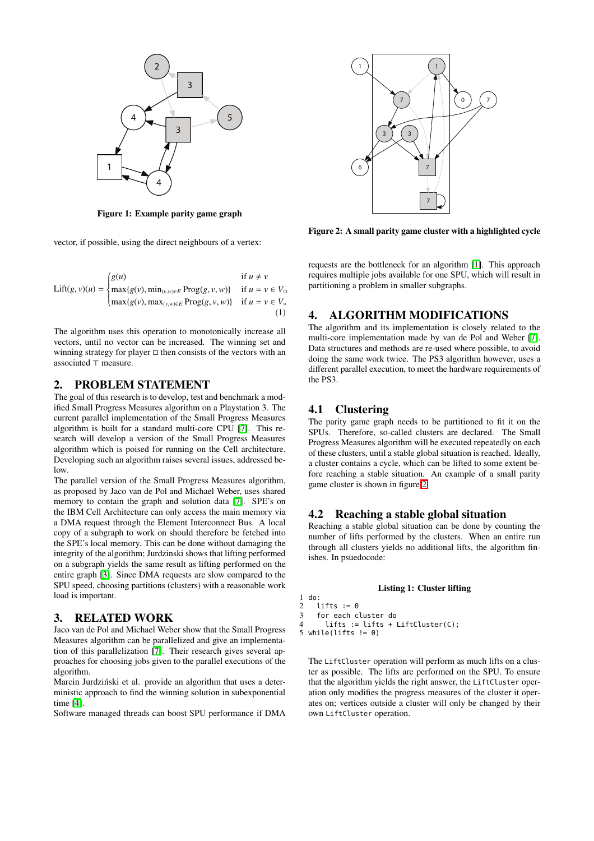

Figure 1: Example parity game graph

<span id="page-1-0"></span>vector, if possible, using the direct neighbours of a vertex:

Lift $(g, v)(u)$  =  $\left\{\right.$  $\overline{\mathcal{L}}$  $g(u)$  if  $u \neq v$  $max{g(v), min_{(v,w)∈E}} Prog(g, v, w)}$  if  $u = v ∈ V_□$ max{*g*(*v*), max<sub>(*v*,*w*)∈*E* Prog(*g*, *v*, *w*)} if *u* = *v* ∈ *V*<sup>∘</sup></sub> (1)

The algorithm uses this operation to monotonically increase all vectors, until no vector can be increased. The winning set and winning strategy for player  $\Box$  then consists of the vectors with an associated ⊤ measure.

### 2. PROBLEM STATEMENT

The goal of this research is to develop, test and benchmark a modified Small Progress Measures algorithm on a Playstation 3. The current parallel implementation of the Small Progress Measures algorithm is built for a standard multi-core CPU [\[7\]](#page-5-3). This research will develop a version of the Small Progress Measures algorithm which is poised for running on the Cell architecture. Developing such an algorithm raises several issues, addressed below.

The parallel version of the Small Progress Measures algorithm, as proposed by Jaco van de Pol and Michael Weber, uses shared memory to contain the graph and solution data [\[7\]](#page-5-3). SPE's on the IBM Cell Architecture can only access the main memory via a DMA request through the Element Interconnect Bus. A local copy of a subgraph to work on should therefore be fetched into the SPE's local memory. This can be done without damaging the integrity of the algorithm; Jurdzinski shows that lifting performed on a subgraph yields the same result as lifting performed on the entire graph [\[3\]](#page-5-2). Since DMA requests are slow compared to the SPU speed, choosing partitions (clusters) with a reasonable work load is important.

### 3. RELATED WORK

Jaco van de Pol and Michael Weber show that the Small Progress Measures algorithm can be parallelized and give an implementation of this parallelization [\[7\]](#page-5-3). Their research gives several approaches for choosing jobs given to the parallel executions of the algorithm.

Marcin Jurdziński et al. provide an algorithm that uses a deterministic approach to find the winning solution in subexponential time [\[4\]](#page-5-4).

Software managed threads can boost SPU performance if DMA



<span id="page-1-1"></span>Figure 2: A small parity game cluster with a highlighted cycle

requests are the bottleneck for an algorithm [\[1\]](#page-5-5). This approach requires multiple jobs available for one SPU, which will result in partitioning a problem in smaller subgraphs.

### 4. ALGORITHM MODIFICATIONS

The algorithm and its implementation is closely related to the multi-core implementation made by van de Pol and Weber [\[7\]](#page-5-3). Data structures and methods are re-used where possible, to avoid doing the same work twice. The PS3 algorithm however, uses a different parallel execution, to meet the hardware requirements of the PS3.

### 4.1 Clustering

The parity game graph needs to be partitioned to fit it on the SPUs. Therefore, so-called clusters are declared. The Small Progress Measures algorithm will be executed repeatedly on each of these clusters, until a stable global situation is reached. Ideally, a cluster contains a cycle, which can be lifted to some extent before reaching a stable situation. An example of a small parity game cluster is shown in figure [2](#page-1-1)

#### 4.2 Reaching a stable global situation

Reaching a stable global situation can be done by counting the number of lifts performed by the clusters. When an entire run through all clusters yields no additional lifts, the algorithm finishes. In psuedocode:

#### Listing 1: Cluster lifting

```
\begin{bmatrix} 1 & \text{do}: \\ 2 & 1 \end{bmatrix}lifts := 03 for each cluster do
4 lifts := lifts + LiftCluster(C);
```
5 while(lifts  $!= 0$ )

The LiftCluster operation will perform as much lifts on a cluster as possible. The lifts are performed on the SPU. To ensure that the algorithm yields the right answer, the LiftCluster operation only modifies the progress measures of the cluster it operates on; vertices outside a cluster will only be changed by their own LiftCluster operation.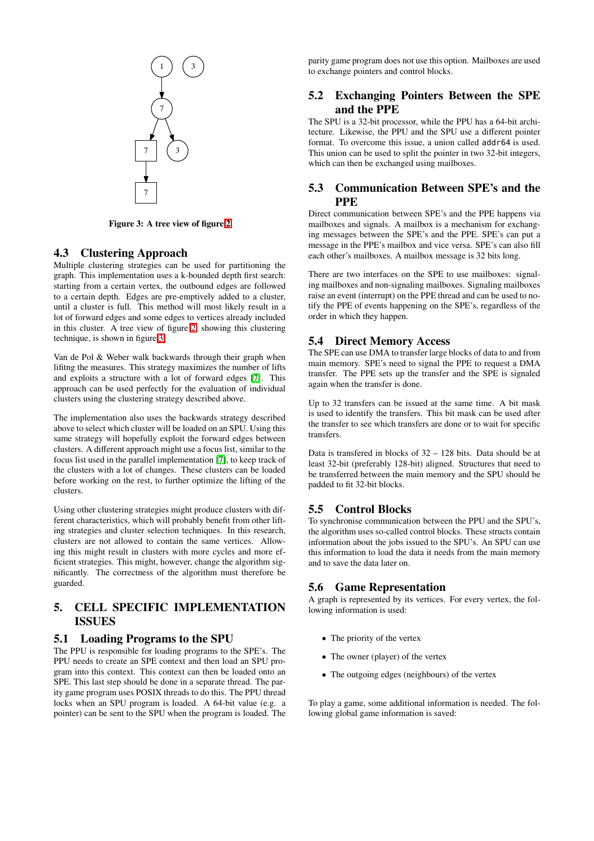

Figure 3: A tree view of figure [2](#page-1-1)

### <span id="page-2-0"></span>4.3 Clustering Approach

Multiple clustering strategies can be used for partitioning the graph. This implementation uses a k-bounded depth first search: starting from a certain vertex, the outbound edges are followed to a certain depth. Edges are pre-emptively added to a cluster, until a cluster is full. This method will most likely result in a lot of forward edges and some edges to vertices already included in this cluster. A tree view of figure [2,](#page-1-1) showing this clustering technique, is shown in figure [3.](#page-2-0)

Van de Pol & Weber walk backwards through their graph when lifitng the measures. This strategy maximizes the number of lifts and exploits a structure with a lot of forward edges [\[7\]](#page-5-3). This approach can be used perfectly for the evaluation of individual clusters using the clustering strategy described above.

The implementation also uses the backwards strategy described above to select which cluster will be loaded on an SPU. Using this same strategy will hopefully exploit the forward edges between clusters. A different approach might use a focus list, similar to the focus list used in the parallel implementation [\[7\]](#page-5-3), to keep track of the clusters with a lot of changes. These clusters can be loaded before working on the rest, to further optimize the lifting of the clusters.

Using other clustering strategies might produce clusters with different characteristics, which will probably benefit from other lifting strategies and cluster selection techniques. In this research, clusters are not allowed to contain the same vertices. Allowing this might result in clusters with more cycles and more efficient strategies. This might, however, change the algorithm significantly. The correctness of the algorithm must therefore be guarded.

# 5. CELL SPECIFIC IMPLEMENTATION ISSUES

### 5.1 Loading Programs to the SPU

The PPU is responsible for loading programs to the SPE's. The PPU needs to create an SPE context and then load an SPU program into this context. This context can then be loaded onto an SPE. This last step should be done in a separate thread. The parity game program uses POSIX threads to do this. The PPU thread locks when an SPU program is loaded. A 64-bit value (e.g. a pointer) can be sent to the SPU when the program is loaded. The parity game program does not use this option. Mailboxes are used to exchange pointers and control blocks.

# 5.2 Exchanging Pointers Between the SPE and the PPE

The SPU is a 32-bit processor, while the PPU has a 64-bit architecture. Likewise, the PPU and the SPU use a different pointer format. To overcome this issue, a union called addr64 is used. This union can be used to split the pointer in two 32-bit integers, which can then be exchanged using mailboxes.

# 5.3 Communication Between SPE's and the PPE

Direct communication between SPE's and the PPE happens via mailboxes and signals. A mailbox is a mechanism for exchanging messages between the SPE's and the PPE. SPE's can put a message in the PPE's mailbox and vice versa. SPE's can also fill each other's mailboxes. A mailbox message is 32 bits long.

There are two interfaces on the SPE to use mailboxes: signaling mailboxes and non-signaling mailboxes. Signaling mailboxes raise an event (interrupt) on the PPE thread and can be used to notify the PPE of events happening on the SPE's, regardless of the order in which they happen.

# 5.4 Direct Memory Access

The SPE can use DMA to transfer large blocks of data to and from main memory. SPE's need to signal the PPE to request a DMA transfer. The PPE sets up the transfer and the SPE is signaled again when the transfer is done.

Up to 32 transfers can be issued at the same time. A bit mask is used to identify the transfers. This bit mask can be used after the transfer to see which transfers are done or to wait for specific transfers.

Data is transfered in blocks of 32 – 128 bits. Data should be at least 32-bit (preferably 128-bit) aligned. Structures that need to be transferred between the main memory and the SPU should be padded to fit 32-bit blocks.

# 5.5 Control Blocks

To synchronise communication between the PPU and the SPU's, the algorithm uses so-called control blocks. These structs contain information about the jobs issued to the SPU's. An SPU can use this information to load the data it needs from the main memory and to save the data later on.

### 5.6 Game Representation

A graph is represented by its vertices. For every vertex, the following information is used:

- The priority of the vertex
- The owner (player) of the vertex
- The outgoing edges (neighbours) of the vertex

To play a game, some additional information is needed. The following global game information is saved: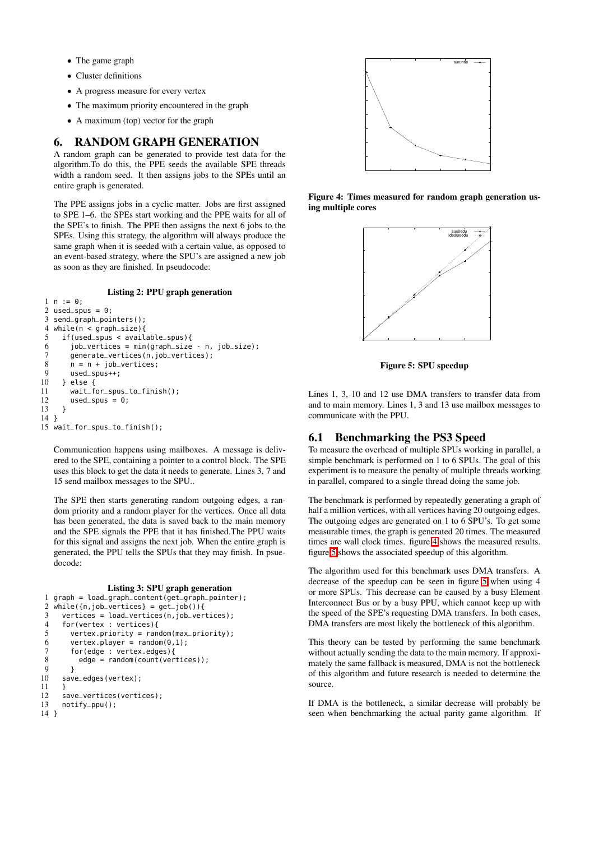- The game graph
- Cluster definitions
- A progress measure for every vertex
- The maximum priority encountered in the graph
- A maximum (top) vector for the graph

### 6. RANDOM GRAPH GENERATION

A random graph can be generated to provide test data for the algorithm.To do this, the PPE seeds the available SPE threads width a random seed. It then assigns jobs to the SPEs until an entire graph is generated.

The PPE assigns jobs in a cyclic matter. Jobs are first assigned to SPE 1–6. the SPEs start working and the PPE waits for all of the SPE's to finish. The PPE then assigns the next 6 jobs to the SPEs. Using this strategy, the algorithm will always produce the same graph when it is seeded with a certain value, as opposed to an event-based strategy, where the SPU's are assigned a new job as soon as they are finished. In pseudocode:

Listing 2: PPU graph generation

```
1 n := 0;2 used_spus = 0;
 3 send_graph_pointers();
 4 while(n < graph_size){
 5 if(used_spus < available_spus){
 6 job_vertices = min(graph_size - n, job_size);<br>7 denerate_vertices(n.iob_vertices):
 7 generate_vertices(n,job_vertices);<br>8 n = n + job\_vertices;
 8 \qquad n = n + job\_vertices;<br>9 used spus++:
9 used_spus++;<br>10 \frac{1}{2} else {
      10 } else {
11 wait_for_spus_to_finish();<br>12 used_spus = 0;
         used-spus = 0;
13 }
14 }
15 wait_for_spus_to_finish();
```
Communication happens using mailboxes. A message is delivered to the SPE, containing a pointer to a control block. The SPE uses this block to get the data it needs to generate. Lines 3, 7 and 15 send mailbox messages to the SPU..

The SPE then starts generating random outgoing edges, a random priority and a random player for the vertices. Once all data has been generated, the data is saved back to the main memory and the SPE signals the PPE that it has finished.The PPU waits for this signal and assigns the next job. When the entire graph is generated, the PPU tells the SPUs that they may finish. In psuedocode:

#### Listing 3: SPU graph generation

```
1 graph = load_graph_content(qet_graph_pointer);
 2 while({n,job_vertices} = get\_job()}{
 3 vertices = load_vertices(n,job_vertices);
 4 for(vertex : vertices){
 5 vertex.priority = random(max_priority);<br>6 vertex.player = random(0,1);
 6 vertex.player = random(0,1);<br>7 for(edge : vertex.edges){
         7 for(edge : vertex.edges){
 8 edge = random(count(vertices));
\begin{matrix} 9 & 3 \\ 10 & \text{sav} \end{matrix}save_edges(vertex);
11 }
12 save_vertices(vertices);
13 notify_ppu();
14 }
```


<span id="page-3-0"></span>Figure 4: Times measured for random graph generation using multiple cores



<span id="page-3-1"></span>Figure 5: SPU speedup

Lines 1, 3, 10 and 12 use DMA transfers to transfer data from and to main memory. Lines 1, 3 and 13 use mailbox messages to communicate with the PPU.

#### <span id="page-3-2"></span>6.1 Benchmarking the PS3 Speed

To measure the overhead of multiple SPUs working in parallel, a simple benchmark is performed on 1 to 6 SPUs. The goal of this experiment is to measure the penalty of multiple threads working in parallel, compared to a single thread doing the same job.

The benchmark is performed by repeatedly generating a graph of half a million vertices, with all vertices having 20 outgoing edges. The outgoing edges are generated on 1 to 6 SPU's. To get some measurable times, the graph is generated 20 times. The measured times are wall clock times. figure [4](#page-3-0) shows the measured results. figure [5](#page-3-1) shows the associated speedup of this algorithm.

The algorithm used for this benchmark uses DMA transfers. A decrease of the speedup can be seen in figure [5](#page-3-1) when using 4 or more SPUs. This decrease can be caused by a busy Element Interconnect Bus or by a busy PPU, which cannot keep up with the speed of the SPE's requesting DMA transfers. In both cases, DMA transfers are most likely the bottleneck of this algorithm.

This theory can be tested by performing the same benchmark without actually sending the data to the main memory. If approximately the same fallback is measured, DMA is not the bottleneck of this algorithm and future research is needed to determine the source.

If DMA is the bottleneck, a similar decrease will probably be seen when benchmarking the actual parity game algorithm. If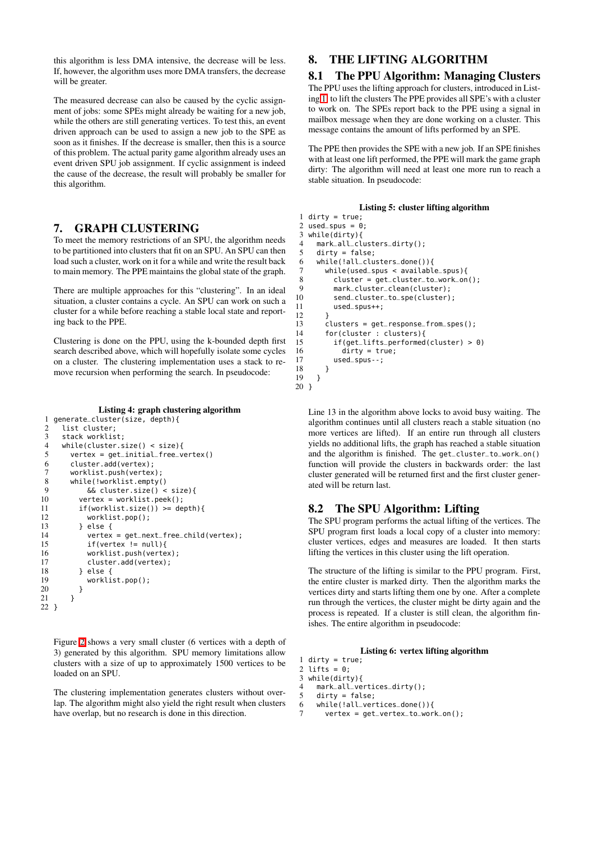this algorithm is less DMA intensive, the decrease will be less. If, however, the algorithm uses more DMA transfers, the decrease will be greater.

The measured decrease can also be caused by the cyclic assignment of jobs: some SPEs might already be waiting for a new job, while the others are still generating vertices. To test this, an event driven approach can be used to assign a new job to the SPE as soon as it finishes. If the decrease is smaller, then this is a source of this problem. The actual parity game algorithm already uses an event driven SPU job assignment. If cyclic assignment is indeed the cause of the decrease, the result will probably be smaller for this algorithm.

### 7. GRAPH CLUSTERING

To meet the memory restrictions of an SPU, the algorithm needs to be partitioned into clusters that fit on an SPU. An SPU can then load such a cluster, work on it for a while and write the result back to main memory. The PPE maintains the global state of the graph.

There are multiple approaches for this "clustering". In an ideal situation, a cluster contains a cycle. An SPU can work on such a cluster for a while before reaching a stable local state and reporting back to the PPE.

Clustering is done on the PPU, using the k-bounded depth first search described above, which will hopefully isolate some cycles on a cluster. The clustering implementation uses a stack to remove recursion when performing the search. In pseudocode:

#### Listing 4: graph clustering algorithm

```
1 generate_cluster(size, depth){
 2 list cluster;<br>3 stack worklis
 3 stack worklist;<br>4 while(cluster s
 4 while(cluster.size() < size){<br>5 vertex = qet_initial_free_ve
          vertex = get\_initial\_free\_vertex()6 cluster.add(vertex);
 7 worklist.push(vertex);<br>8 while(!worklist.empty(
 8 while(!worklist.empty()<br>9 66 cluster size() <
9 \& cluster.size() < size){<br>10 \& vertex = worklist.peek():
             vertex = worklist.peek();
11 if(worklist.size()) >= depth){<br>12 worklist.pop();
                worklist.pop();
\begin{array}{cc} 13 & 3 \\ 14 & 3 \end{array} } else {
14 vertex = get\_next\_free\_child(vertex);<br>15 if(vertex != null){
15 if(vertex != null){<br>16 worklist.push(verte
16 worklist.push(vertex);<br>17 cluster add(vertex);
17 cluster.add(vertex);<br>18 } else {
18 } else {<br>19 } workli
                worklist.pop();
20 }
21 }
22 }
```
Figure [2](#page-1-1) shows a very small cluster (6 vertices with a depth of 3) generated by this algorithm. SPU memory limitations allow clusters with a size of up to approximately 1500 vertices to be loaded on an SPU.

The clustering implementation generates clusters without overlap. The algorithm might also yield the right result when clusters have overlap, but no research is done in this direction.

# 8. THE LIFTING ALGORITHM

#### 8.1 The PPU Algorithm: Managing Clusters

The PPU uses the lifting approach for clusters, introduced in Listing [1,](#page-1-2) to lift the clusters The PPE provides all SPE's with a cluster to work on. The SPEs report back to the PPE using a signal in mailbox message when they are done working on a cluster. This message contains the amount of lifts performed by an SPE.

The PPE then provides the SPE with a new job. If an SPE finishes with at least one lift performed, the PPE will mark the game graph dirty: The algorithm will need at least one more run to reach a stable situation. In pseudocode:

#### Listing 5: cluster lifting algorithm

```
1 dirty = true;
 2 used_spus = 0;<br>3 while(dirty){
 3 while(dirty){
 4 mark_all_clusters_dirty();<br>5 dirty = false:
       divty = false;6 while(!all_clusters_done()){
 7 while(used_spus < available_spus){
 8 cluster = get_{\text{cluster}\text{-}to_{\text{work\_on}}(;<br>9 mark_cluster_clean(cluster):
9 mark_cluster_clean(cluster);<br>10 send_cluster_to_spe(cluster)
             send_cluster_to_spe(cluster);
11 used_spus++;
\frac{12}{13}13 clusters = get\_response\_from\_spes();<br>14 for(cluster : clusters){
14 for(cluster : clusters){<br>15 if(get lifts performed
15 if(get\_lifts\_performed(cluster) > 0)<br>16 dirtv = true:
                \text{div} = true;
17 used_spus--;
\begin{matrix} 18 \\ 19 \end{matrix} }
      19 }
20 }
```
Line 13 in the algorithm above locks to avoid busy waiting. The algorithm continues until all clusters reach a stable situation (no more vertices are lifted). If an entire run through all clusters yields no additional lifts, the graph has reached a stable situation and the algorithm is finished. The get\_cluster\_to\_work\_on() function will provide the clusters in backwards order: the last cluster generated will be returned first and the first cluster generated will be return last.

### 8.2 The SPU Algorithm: Lifting

The SPU program performs the actual lifting of the vertices. The SPU program first loads a local copy of a cluster into memory: cluster vertices, edges and measures are loaded. It then starts lifting the vertices in this cluster using the lift operation.

The structure of the lifting is similar to the PPU program. First, the entire cluster is marked dirty. Then the algorithm marks the vertices dirty and starts lifting them one by one. After a complete run through the vertices, the cluster might be dirty again and the process is repeated. If a cluster is still clean, the algorithm finishes. The entire algorithm in pseudocode:

#### Listing 6: vertex lifting algorithm

```
1 dirty = true;
2 lifts = 0;
```

```
3 \text{ while}(\text{dirty}){<br>4 mark all ve
```

```
4 mark_all_vertices_dirty();<br>5 dirty = false:
```

```
divtv = false:
```

```
6 while(!all_vertices_done()){
```
7 vertex = get\_vertex\_to\_work\_on();